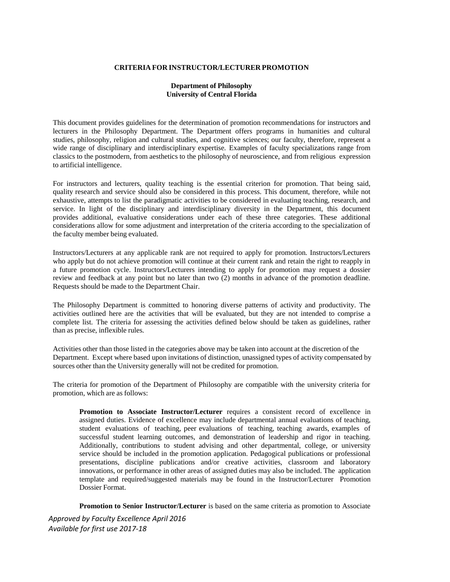#### **CRITERIA FOR INSTRUCTOR/LECTURER PROMOTION**

# **Department of Philosophy University of Central Florida**

This document provides guidelines for the determination of promotion recommendations for instructors and lecturers in the Philosophy Department. The Department offers programs in humanities and cultural studies, philosophy, religion and cultural studies, and cognitive sciences; our faculty, therefore, represent a wide range of disciplinary and interdisciplinary expertise. Examples of faculty specializations range from classics to the postmodern, from aesthetics to the philosophy of neuroscience, and from religious expression to artificial intelligence.

For instructors and lecturers, quality teaching is the essential criterion for promotion. That being said, quality research and service should also be considered in this process. This document, therefore, while not exhaustive, attempts to list the paradigmatic activities to be considered in evaluating teaching, research, and service. In light of the disciplinary and interdisciplinary diversity in the Department, this document provides additional, evaluative considerations under each of these three categories. These additional considerations allow for some adjustment and interpretation of the criteria according to the specialization of the faculty member being evaluated.

Instructors/Lecturers at any applicable rank are not required to apply for promotion. Instructors/Lecturers who apply but do not achieve promotion will continue at their current rank and retain the right to reapply in a future promotion cycle. Instructors/Lecturers intending to apply for promotion may request a dossier review and feedback at any point but no later than two (2) months in advance of the promotion deadline. Requests should be made to the Department Chair.

The Philosophy Department is committed to honoring diverse patterns of activity and productivity. The activities outlined here are the activities that will be evaluated, but they are not intended to comprise a complete list. The criteria for assessing the activities defined below should be taken as guidelines, rather than as precise, inflexible rules.

Activities other than those listed in the categories above may be taken into account at the discretion of the Department. Except where based upon invitations of distinction, unassigned types of activity compensated by sources other than the University generally will not be credited for promotion.

The criteria for promotion of the Department of Philosophy are compatible with the university criteria for promotion, which are as follows:

**Promotion to Associate Instructor/Lecturer** requires a consistent record of excellence in assigned duties. Evidence of excellence may include departmental annual evaluations of teaching, student evaluations of teaching, peer evaluations of teaching, teaching awards, examples of successful student learning outcomes, and demonstration of leadership and rigor in teaching. Additionally, contributions to student advising and other departmental, college, or university service should be included in the promotion application. Pedagogical publications or professional presentations, discipline publications and/or creative activities, classroom and laboratory innovations, or performance in other areas of assigned duties may also be included. The application template and required/suggested materials may be found in the Instructor/Lecturer Promotion Dossier Format.

**Promotion to Senior Instructor/Lecturer** is based on the same criteria as promotion to Associate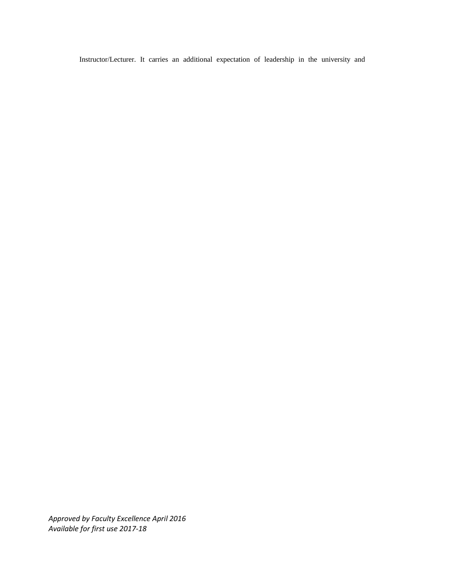Instructor/Lecturer. It carries an additional expectation of leadership in the university and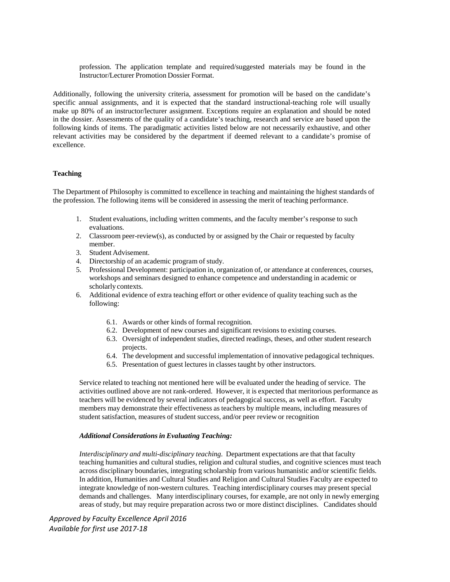profession. The application template and required/suggested materials may be found in the Instructor/Lecturer Promotion Dossier Format.

Additionally, following the university criteria, assessment for promotion will be based on the candidate's specific annual assignments, and it is expected that the standard instructional-teaching role will usually make up 80% of an instructor/lecturer assignment. Exceptions require an explanation and should be noted in the dossier. Assessments of the quality of a candidate's teaching, research and service are based upon the following kinds of items. The paradigmatic activities listed below are not necessarily exhaustive, and other relevant activities may be considered by the department if deemed relevant to a candidate's promise of excellence.

### **Teaching**

The Department of Philosophy is committed to excellence in teaching and maintaining the highest standards of the profession. The following items will be considered in assessing the merit of teaching performance.

- 1. Student evaluations, including written comments, and the faculty member's response to such evaluations.
- 2. Classroom peer-review(s), as conducted by or assigned by the Chair or requested by faculty member.
- 3. Student Advisement.
- 4. Directorship of an academic program of study.
- 5. Professional Development: participation in, organization of, or attendance at conferences, courses, workshops and seminars designed to enhance competence and understanding in academic or scholarly contexts.
- 6. Additional evidence of extra teaching effort or other evidence of quality teaching such as the following:
	- 6.1. Awards or other kinds of formal recognition.
	- 6.2. Development of new courses and significant revisions to existing courses.
	- 6.3. Oversight of independent studies, directed readings, theses, and other student research projects.
	- 6.4. The development and successful implementation of innovative pedagogical techniques.
	- 6.5. Presentation of guest lectures in classes taught by other instructors.

Service related to teaching not mentioned here will be evaluated under the heading of service. The activities outlined above are not rank-ordered. However, it is expected that meritorious performance as teachers will be evidenced by several indicators of pedagogical success, as well as effort. Faculty members may demonstrate their effectiveness as teachers by multiple means, including measures of student satisfaction, measures of student success, and/or peer review or recognition

# *Additional Considerationsin Evaluating Teaching:*

*Interdisciplinary and multi-disciplinary teaching.* Department expectations are that that faculty teaching humanities and cultural studies, religion and cultural studies, and cognitive sciences must teach across disciplinary boundaries, integrating scholarship from various humanistic and/or scientific fields. In addition, Humanities and Cultural Studies and Religion and Cultural Studies Faculty are expected to integrate knowledge of non-western cultures. Teaching interdisciplinary courses may present special demands and challenges. Many interdisciplinary courses, for example, are not only in newly emerging areas of study, but may require preparation across two or more distinct disciplines. Candidates should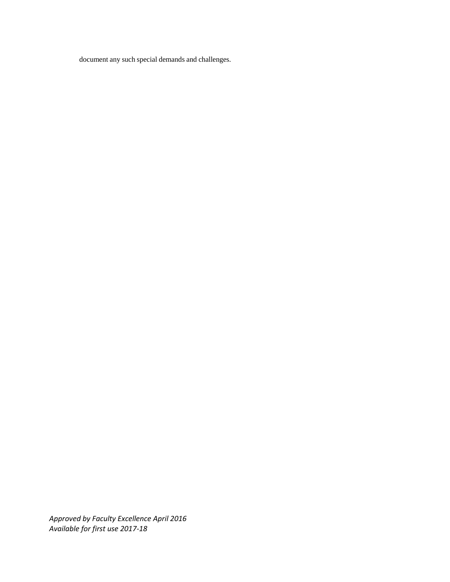document any such special demands and challenges.